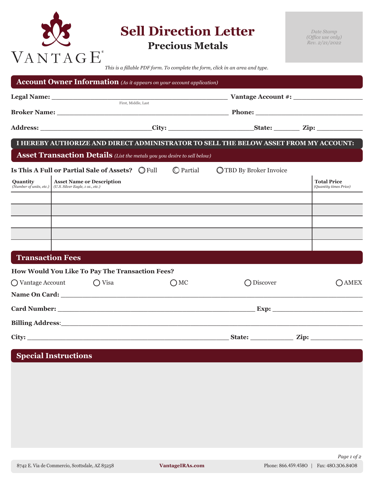

**Sell Direction Letter Precious Metals**

*Date Stamp (Office use only) Rev. 2/21/2022*

*This is a fillable PDF form. To complete the form, click in an area and type.*

| <b>Account Owner Information</b> (As it appears on your account application)                                    |  |  |               |                                   |            |  |                                              |  |
|-----------------------------------------------------------------------------------------------------------------|--|--|---------------|-----------------------------------|------------|--|----------------------------------------------|--|
|                                                                                                                 |  |  |               |                                   |            |  |                                              |  |
|                                                                                                                 |  |  |               |                                   |            |  |                                              |  |
|                                                                                                                 |  |  |               |                                   |            |  |                                              |  |
| I HEREBY AUTHORIZE AND DIRECT ADMINISTRATOR TO SELL THE BELOW ASSET FROM MY ACCOUNT:                            |  |  |               |                                   |            |  |                                              |  |
| <b>Asset Transaction Details</b> (List the metals you you desire to sell below)                                 |  |  |               |                                   |            |  |                                              |  |
| Is This A Full or Partial Sale of Assets? $\bigcirc$ Full                                                       |  |  |               | ◯ Partial ◯ TBD By Broker Invoice |            |  |                                              |  |
| <b>Ouantity</b><br><b>Asset Name or Description</b><br>(Number of units, etc.) (U.S. Silver Eagle, 1 oz., etc.) |  |  |               |                                   |            |  | <b>Total Price</b><br>(Quantity times Price) |  |
|                                                                                                                 |  |  |               |                                   |            |  |                                              |  |
|                                                                                                                 |  |  |               |                                   |            |  |                                              |  |
|                                                                                                                 |  |  |               |                                   |            |  |                                              |  |
|                                                                                                                 |  |  |               |                                   |            |  |                                              |  |
| <b>Transaction Fees</b>                                                                                         |  |  |               |                                   |            |  |                                              |  |
| How Would You Like To Pay The Transaction Fees?                                                                 |  |  |               |                                   |            |  |                                              |  |
| $\bigcap$ Vantage Account $\bigcap$ Visa                                                                        |  |  | $\bigcirc$ MC |                                   | ◯ Discover |  | ∩AMEX                                        |  |
|                                                                                                                 |  |  |               |                                   |            |  |                                              |  |
|                                                                                                                 |  |  |               |                                   |            |  |                                              |  |
|                                                                                                                 |  |  |               |                                   |            |  |                                              |  |
|                                                                                                                 |  |  |               |                                   |            |  |                                              |  |

## **Special Instructions**